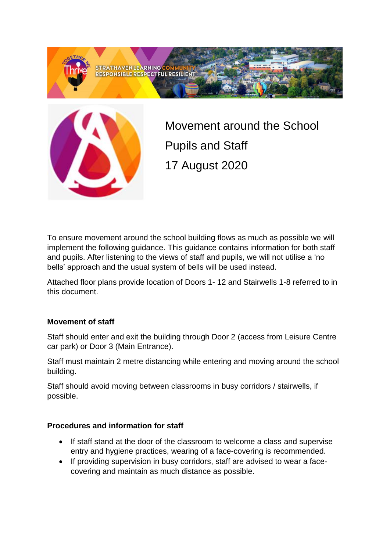



Movement around the School Pupils and Staff 17 August 2020

To ensure movement around the school building flows as much as possible we will implement the following guidance. This guidance contains information for both staff and pupils. After listening to the views of staff and pupils, we will not utilise a 'no bells' approach and the usual system of bells will be used instead.

Attached floor plans provide location of Doors 1- 12 and Stairwells 1-8 referred to in this document.

### **Movement of staff**

Staff should enter and exit the building through Door 2 (access from Leisure Centre car park) or Door 3 (Main Entrance).

Staff must maintain 2 metre distancing while entering and moving around the school building.

Staff should avoid moving between classrooms in busy corridors / stairwells, if possible.

### **Procedures and information for staff**

- If staff stand at the door of the classroom to welcome a class and supervise entry and hygiene practices, wearing of a face-covering is recommended.
- If providing supervision in busy corridors, staff are advised to wear a facecovering and maintain as much distance as possible.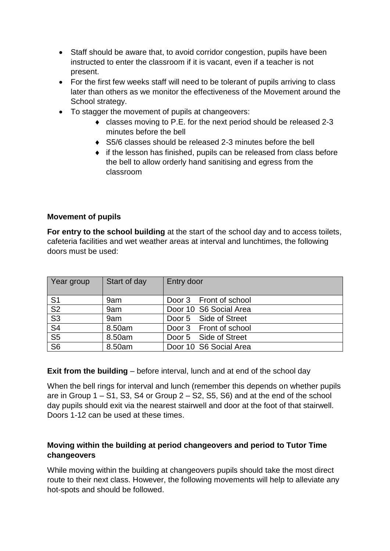- Staff should be aware that, to avoid corridor congestion, pupils have been instructed to enter the classroom if it is vacant, even if a teacher is not present.
- For the first few weeks staff will need to be tolerant of pupils arriving to class later than others as we monitor the effectiveness of the Movement around the School strategy.
- To stagger the movement of pupils at changeovers:
	- classes moving to P.E. for the next period should be released 2-3 minutes before the bell
	- ◆ S5/6 classes should be released 2-3 minutes before the bell
	- if the lesson has finished, pupils can be released from class before the bell to allow orderly hand sanitising and egress from the classroom

### **Movement of pupils**

**For entry to the school building** at the start of the school day and to access toilets, cafeteria facilities and wet weather areas at interval and lunchtimes, the following doors must be used:

| Year group                          | Start of day | Entry door             |
|-------------------------------------|--------------|------------------------|
| S <sub>1</sub>                      | 9am          | Door 3 Front of school |
| $\overline{\mathsf{S2}}$            | 9am          | Door 10 S6 Social Area |
| $\overline{\mathsf{S}3}$            | 9am          | Door 5 Side of Street  |
| $\overline{\mathsf{S}4}$            | 8.50am       | Door 3 Front of school |
| $\overline{\text{S5}}$              | 8.50am       | Door 5 Side of Street  |
| $\overline{\overline{\mathsf{S6}}}$ | 8.50am       | Door 10 S6 Social Area |

**Exit from the building** – before interval, lunch and at end of the school day

When the bell rings for interval and lunch (remember this depends on whether pupils are in Group  $1 - S1$ , S3, S4 or Group  $2 - S2$ , S5, S6) and at the end of the school day pupils should exit via the nearest stairwell and door at the foot of that stairwell. Doors 1-12 can be used at these times.

## **Moving within the building at period changeovers and period to Tutor Time changeovers**

While moving within the building at changeovers pupils should take the most direct route to their next class. However, the following movements will help to alleviate any hot-spots and should be followed.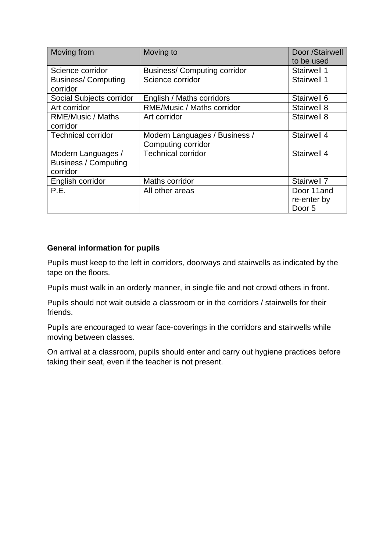| Moving from                 | Moving to                          | Door /Stairwell |
|-----------------------------|------------------------------------|-----------------|
|                             |                                    | to be used      |
| Science corridor            | <b>Business/Computing corridor</b> | Stairwell 1     |
| <b>Business/Computing</b>   | Science corridor                   | Stairwell 1     |
| corridor                    |                                    |                 |
| Social Subjects corridor    | English / Maths corridors          | Stairwell 6     |
| Art corridor                | RME/Music / Maths corridor         | Stairwell 8     |
| <b>RME/Music / Maths</b>    | Art corridor                       | Stairwell 8     |
| corridor                    |                                    |                 |
| <b>Technical corridor</b>   | Modern Languages / Business /      | Stairwell 4     |
|                             | Computing corridor                 |                 |
| Modern Languages /          | <b>Technical corridor</b>          | Stairwell 4     |
| <b>Business / Computing</b> |                                    |                 |
| corridor                    |                                    |                 |
| English corridor            | Maths corridor                     | Stairwell 7     |
| P.E.                        | All other areas                    | Door 11 and     |
|                             |                                    | re-enter by     |
|                             |                                    | Door 5          |

### **General information for pupils**

Pupils must keep to the left in corridors, doorways and stairwells as indicated by the tape on the floors.

Pupils must walk in an orderly manner, in single file and not crowd others in front.

Pupils should not wait outside a classroom or in the corridors / stairwells for their friends.

Pupils are encouraged to wear face-coverings in the corridors and stairwells while moving between classes.

On arrival at a classroom, pupils should enter and carry out hygiene practices before taking their seat, even if the teacher is not present.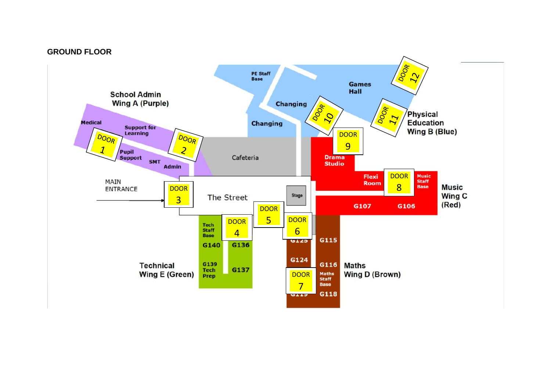#### **GROUND FLOOR**

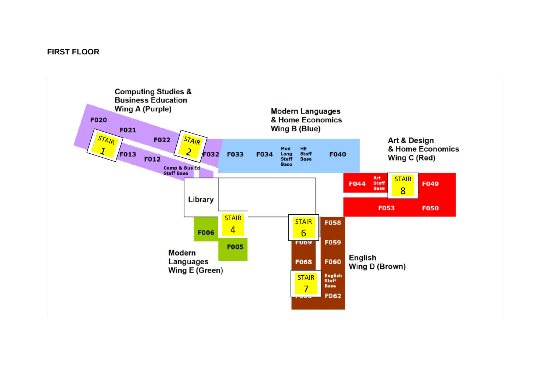### **FIRST FLOOR**